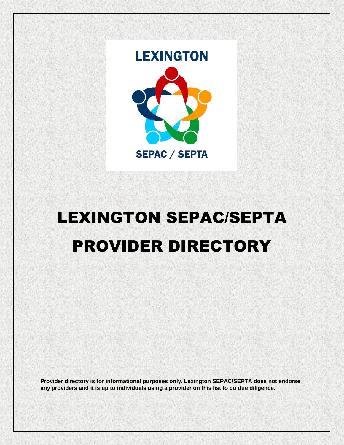

# LEXINGTON SEPAC/SEPTA PROVIDER DIRECTORY

**Provider directory is for informational purposes only. Lexington SEPAC/SEPTA does not endorse any providers and it is up to individuals using a provider on this list to do due diligence.**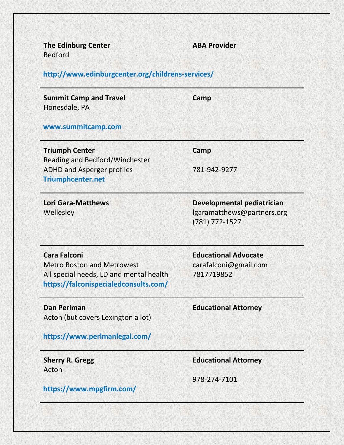| <b>The Edinburg Center</b><br><b>Bedford</b>                                                                                                 | <b>ABA Provider</b>                                                        |
|----------------------------------------------------------------------------------------------------------------------------------------------|----------------------------------------------------------------------------|
| http://www.edinburgcenter.org/childrens-services/                                                                                            |                                                                            |
| <b>Summit Camp and Travel</b><br>Honesdale, PA                                                                                               | Camp                                                                       |
| www.summitcamp.com                                                                                                                           |                                                                            |
| <b>Triumph Center</b><br>Reading and Bedford/Winchester                                                                                      | Camp                                                                       |
| <b>ADHD and Asperger profiles</b><br><b>Triumphcenter.net</b>                                                                                | 781-942-9277                                                               |
| <b>Lori Gara-Matthews</b><br>Wellesley                                                                                                       | Developmental pediatrician<br>lgaramatthews@partners.org<br>(781) 772-1527 |
| <b>Cara Falconi</b><br><b>Metro Boston and Metrowest</b><br>All special needs, LD and mental health<br>https://falconispecialedconsults.com/ | <b>Educational Advocate</b><br>carafalconi@gmail.com<br>7817719852         |
| <b>Dan Perlman</b><br>Acton (but covers Lexington a lot)                                                                                     | <b>Educational Attorney</b>                                                |
| https://www.perlmanlegal.com/                                                                                                                |                                                                            |
| <b>Sherry R. Gregg</b><br>Acton                                                                                                              | <b>Educational Attorney</b>                                                |
| https://www.mpgfirm.com/                                                                                                                     | 978-274-7101                                                               |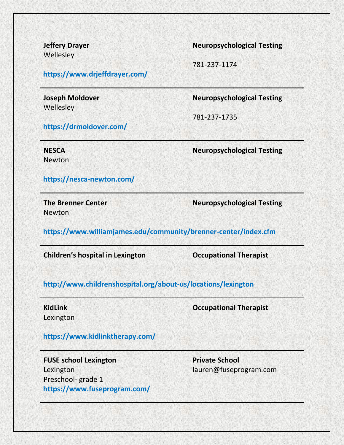**Wellesley** 

**<https://www.drjeffdrayer.com/>**

**Wellesley** 

**Jeffery Drayer Neuropsychological Testing**

781-237-1174

**Joseph Moldover Neuropsychological Testing**

781-237-1735

**<https://drmoldover.com/>**

**<https://nesca-newton.com/>**

**NESCA Neuropsychological Testing** Newton

**Newton** 

**The Brenner Center Neuropsychological Testing**

**<https://www.williamjames.edu/community/brenner-center/index.cfm>**

**Children's hospital in Lexington Occupational Therapist**

# **<http://www.childrenshospital.org/about-us/locations/lexington>**

Lexington

**KidLink Occupational Therapist**

## **<https://www.kidlinktherapy.com/>**

**FUSE school Lexington Private School** Lexington lauren@fuseprogram.com Preschool- grade 1 **<https://www.fuseprogram.com/>**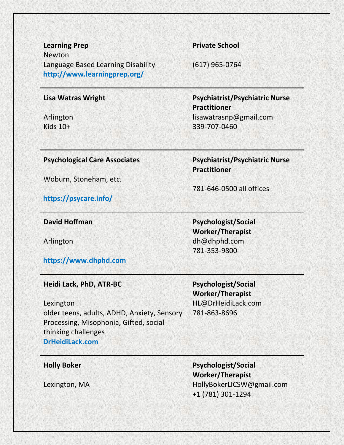**Learning Prep Private School** Newton Language Based Learning Disability (617) 965-0764 **<http://www.learningprep.org/>**

**Practitioner**

781-646-0500 all offices

**Worker/Therapist**

781-353-9800

**Lisa Watras Wright Psychiatrist/Psychiatric Nurse Practitioner** Arlington lisawatrasnp@gmail.com Kids 10+ 339-707-0460

### **Psychological Care Associates Psychiatrist/Psychiatric Nurse**

Woburn, Stoneham, etc.

**<https://psycare.info/>**

**David Hoffman Psychologist/Social** 

Arlington dh@dhphd.com

**[https://www.dhphd.com](https://www.dhphd.com/)**

### **Heidi Lack, PhD, ATR-BC Psychologist/Social**

**Worker/Therapist** 781-863-8696

Lexington HL@DrHeidiLack.com older teens, adults, ADHD, Anxiety, Sensory Processing, Misophonia, Gifted, social thinking challenges **<DrHeidiLack.com>**

**Holly Boker Psychologist/Social Worker/Therapist** Lexington, MA **Manufather Community** HollyBokerLICSW@gmail.com +1 (781) 301-1294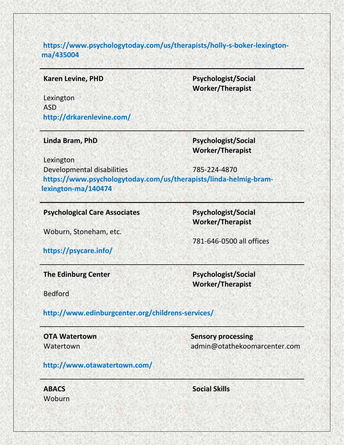**[https://www.psychologytoday.com/us/therapists/holly-s-boker-lexington](https://www.psychologytoday.com/us/therapists/holly-s-boker-lexington-ma/435004)[ma/435004](https://www.psychologytoday.com/us/therapists/holly-s-boker-lexington-ma/435004)**

**Karen Levine, PHD Psychologist/Social Worker/Therapist**

Lexington ASD **<http://drkarenlevine.com/>**

**Linda Bram, PhD Psychologist/Social Worker/Therapist**

Lexington Developmental disabilities 785-224-4870 **[https://www.psychologytoday.com/us/therapists/linda-helmig-bram](https://www.psychologytoday.com/us/therapists/linda-helmig-bram-lexington-ma/140474)[lexington-ma/140474](https://www.psychologytoday.com/us/therapists/linda-helmig-bram-lexington-ma/140474)**

**Psychological Care Associates Psychologist/Social** 

Woburn, Stoneham, etc.

781-646-0500 all offices

**Worker/Therapist**

**<https://psycare.info/>**

**The Edinburg Center Psychologist/Social** 

**Worker/Therapist**

Bedford

**<http://www.edinburgcenter.org/childrens-services/>**

**OTA Watertown Sensory processing** Watertown admin@otathekoomarcenter.com

# **<http://www.otawatertown.com/>**

Woburn

**ABACS Social Skills**